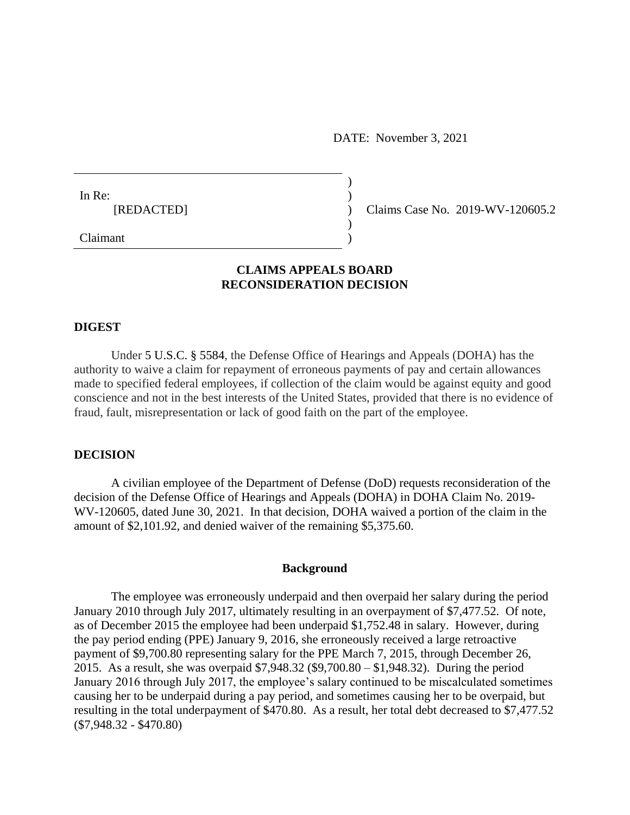DATE: November 3, 2021

| In Re:     |  |
|------------|--|
| [REDACTED] |  |
|            |  |

(c) Claims Case No. 2019-WV-120605.2

# Claimant )

## **CLAIMS APPEALS BOARD RECONSIDERATION DECISION**

### **DIGEST**

Under [5 U.S.C. § 5584,](https://a.next.westlaw.com/Link/Document/FullText?findType=L&pubNum=1000546&cite=5USCAS5584&originatingDoc=Ic5cf391e4e1411e18b05fdf15589d8e8&refType=LQ&originationContext=document&transitionType=DocumentItem&contextData=(sc.Search)) the Defense Office of Hearings and Appeals (DOHA) has the authority to waive a claim for repayment of erroneous payments of pay and certain allowances made to specified federal employees, if collection of the claim would be against equity and good conscience and not in the best interests of the United States, provided that there is no evidence of fraud, fault, misrepresentation or lack of good faith on the part of the employee.

## **DECISION**

A civilian employee of the Department of Defense (DoD) requests reconsideration of the decision of the Defense Office of Hearings and Appeals (DOHA) in DOHA Claim No. 2019- WV-120605, dated June 30, 2021. In that decision, DOHA waived a portion of the claim in the amount of \$2,101.92, and denied waiver of the remaining \$5,375.60.

### **Background**

The employee was erroneously underpaid and then overpaid her salary during the period January 2010 through July 2017, ultimately resulting in an overpayment of \$7,477.52. Of note, as of December 2015 the employee had been underpaid \$1,752.48 in salary. However, during the pay period ending (PPE) January 9, 2016, she erroneously received a large retroactive payment of \$9,700.80 representing salary for the PPE March 7, 2015, through December 26, 2015. As a result, she was overpaid \$7,948.32 (\$9,700.80 – \$1,948.32). During the period January 2016 through July 2017, the employee's salary continued to be miscalculated sometimes causing her to be underpaid during a pay period, and sometimes causing her to be overpaid, but resulting in the total underpayment of \$470.80. As a result, her total debt decreased to \$7,477.52 (\$7,948.32 - \$470.80)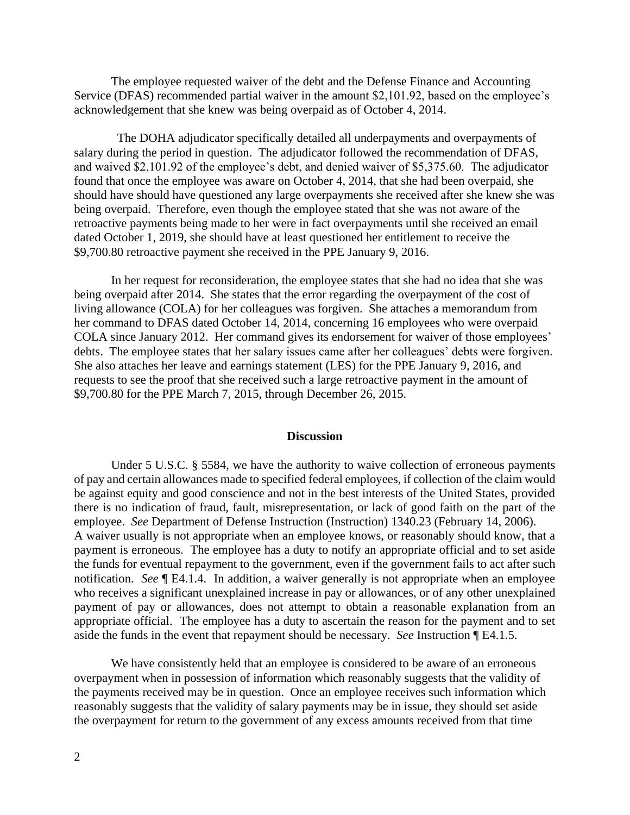The employee requested waiver of the debt and the Defense Finance and Accounting Service (DFAS) recommended partial waiver in the amount \$2,101.92, based on the employee's acknowledgement that she knew was being overpaid as of October 4, 2014.

 The DOHA adjudicator specifically detailed all underpayments and overpayments of salary during the period in question. The adjudicator followed the recommendation of DFAS, and waived \$2,101.92 of the employee's debt, and denied waiver of \$5,375.60. The adjudicator found that once the employee was aware on October 4, 2014, that she had been overpaid, she should have should have questioned any large overpayments she received after she knew she was being overpaid. Therefore, even though the employee stated that she was not aware of the retroactive payments being made to her were in fact overpayments until she received an email dated October 1, 2019, she should have at least questioned her entitlement to receive the \$9,700.80 retroactive payment she received in the PPE January 9, 2016.

In her request for reconsideration, the employee states that she had no idea that she was being overpaid after 2014. She states that the error regarding the overpayment of the cost of living allowance (COLA) for her colleagues was forgiven. She attaches a memorandum from her command to DFAS dated October 14, 2014, concerning 16 employees who were overpaid COLA since January 2012. Her command gives its endorsement for waiver of those employees' debts. The employee states that her salary issues came after her colleagues' debts were forgiven. She also attaches her leave and earnings statement (LES) for the PPE January 9, 2016, and requests to see the proof that she received such a large retroactive payment in the amount of \$9,700.80 for the PPE March 7, 2015, through December 26, 2015.

## **Discussion**

Under 5 U.S.C. § 5584, we have the authority to waive collection of erroneous payments of pay and certain allowances made to specified federal employees, if collection of the claim would be against equity and good conscience and not in the best interests of the United States, provided there is no indication of fraud, fault, misrepresentation, or lack of good faith on the part of the employee. *See* Department of Defense Instruction (Instruction) 1340.23 (February 14, 2006). A waiver usually is not appropriate when an employee knows, or reasonably should know, that a payment is erroneous. The employee has a duty to notify an appropriate official and to set aside the funds for eventual repayment to the government, even if the government fails to act after such notification. *See* ¶ E4.1.4. In addition, a waiver generally is not appropriate when an employee who receives a significant unexplained increase in pay or allowances, or of any other unexplained payment of pay or allowances, does not attempt to obtain a reasonable explanation from an appropriate official. The employee has a duty to ascertain the reason for the payment and to set aside the funds in the event that repayment should be necessary. *See* Instruction ¶ E4.1.5.

We have consistently held that an employee is considered to be aware of an erroneous overpayment when in possession of information which reasonably suggests that the validity of the payments received may be in question. Once an employee receives such information which reasonably suggests that the validity of salary payments may be in issue, they should set aside the overpayment for return to the government of any excess amounts received from that time